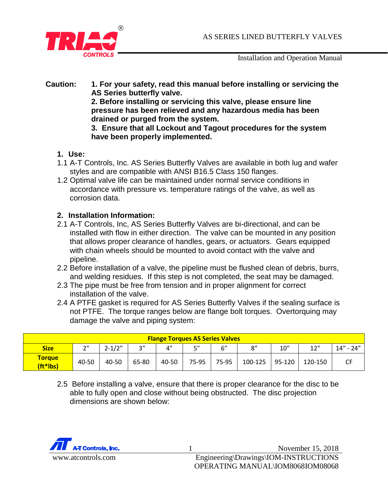

Installation and Operation Manual

#### **Caution: 1. For your safety, read this manual before installing or servicing the AS Series butterfly valve. 2. Before installing or servicing this valve, please ensure line pressure has been relieved and any hazardous media has been drained or purged from the system. 3. Ensure that all Lockout and Tagout procedures for the system have been properly implemented.**

- **1. Use:**
- 1.1 A-T Controls, Inc. AS Series Butterfly Valves are available in both lug and wafer styles and are compatible with ANSI B16.5 Class 150 flanges.
- 1.2 Optimal valve life can be maintained under normal service conditions in accordance with pressure vs. temperature ratings of the valve, as well as corrosion data.

# **2. Installation Information:**

- 2.1 A-T Controls, Inc, AS Series Butterfly Valves are bi-directional, and can be installed with flow in either direction. The valve can be mounted in any position that allows proper clearance of handles, gears, or actuators. Gears equipped with chain wheels should be mounted to avoid contact with the valve and pipeline.
- 2.2 Before installation of a valve, the pipeline must be flushed clean of debris, burrs, and welding residues. If this step is not completed, the seat may be damaged.
- 2.3 The pipe must be free from tension and in proper alignment for correct installation of the valve.
- 2.4 A PTFE gasket is required for AS Series Butterfly Valves if the sealing surface is not PTFE. The torque ranges below are flange bolt torques. Overtorquing may damage the valve and piping system:

| <b>Flange Torques AS Series Valves</b> |                |            |       |       |       |       |         |        |         |             |
|----------------------------------------|----------------|------------|-------|-------|-------|-------|---------|--------|---------|-------------|
| <b>Size</b>                            | $\bigcap$<br>∸ | $2 - 1/2"$ | າ"    | 4"    | 5"    | 6"    | 8"      | 10"    | 12"     | $14" - 24"$ |
| <b>Torque</b><br>(ft*lbs)              | 40-50          | 40-50      | 65-80 | 40-50 | 75-95 | 75-95 | 100-125 | 95-120 | 120-150 |             |

2.5 Before installing a valve, ensure that there is proper clearance for the disc to be able to fully open and close without being obstructed. The disc projection dimensions are shown below:

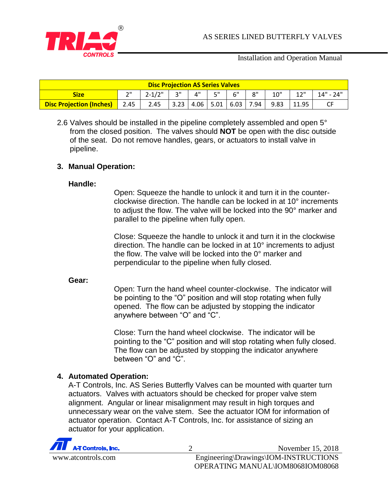

Installation and Operation Manual

| <b>Disc Projection AS Series Valves</b> |                     |                  |  |    |           |                                                                          |     |      |       |             |
|-----------------------------------------|---------------------|------------------|--|----|-----------|--------------------------------------------------------------------------|-----|------|-------|-------------|
| <b>Size</b>                             | ייר                 | $2 - 1/2$ "   3" |  | 4" | <b>E"</b> | 6"                                                                       | R'' | 10"  | 12"   | $14" - 24"$ |
| <b>Disc Projection (Inches)</b>         | $\blacksquare$ 2.45 | 2.45             |  |    |           | $\vert$ 3.23 $\vert$ 4.06 $\vert$ 5.01 $\vert$ 6.03 $\vert$ 7.94 $\vert$ |     | 9.83 | 11.95 |             |

2.6 Valves should be installed in the pipeline completely assembled and open 5° from the closed position. The valves should **NOT** be open with the disc outside of the seat. Do not remove handles, gears, or actuators to install valve in pipeline.

### **3. Manual Operation:**

### **Handle:**

Open: Squeeze the handle to unlock it and turn it in the counterclockwise direction. The handle can be locked in at 10° increments to adjust the flow. The valve will be locked into the 90° marker and parallel to the pipeline when fully open.

Close: Squeeze the handle to unlock it and turn it in the clockwise direction. The handle can be locked in at 10° increments to adjust the flow. The valve will be locked into the 0° marker and perpendicular to the pipeline when fully closed.

#### **Gear:**

Open: Turn the hand wheel counter-clockwise. The indicator will be pointing to the "O" position and will stop rotating when fully opened. The flow can be adjusted by stopping the indicator anywhere between "O" and "C".

Close: Turn the hand wheel clockwise. The indicator will be pointing to the "C" position and will stop rotating when fully closed. The flow can be adjusted by stopping the indicator anywhere between "O" and "C".

## **4. Automated Operation:**

A-T Controls, Inc. AS Series Butterfly Valves can be mounted with quarter turn actuators. Valves with actuators should be checked for proper valve stem alignment. Angular or linear misalignment may result in high torques and unnecessary wear on the valve stem. See the actuator IOM for information of actuator operation. Contact A-T Controls, Inc. for assistance of sizing an actuator for your application.